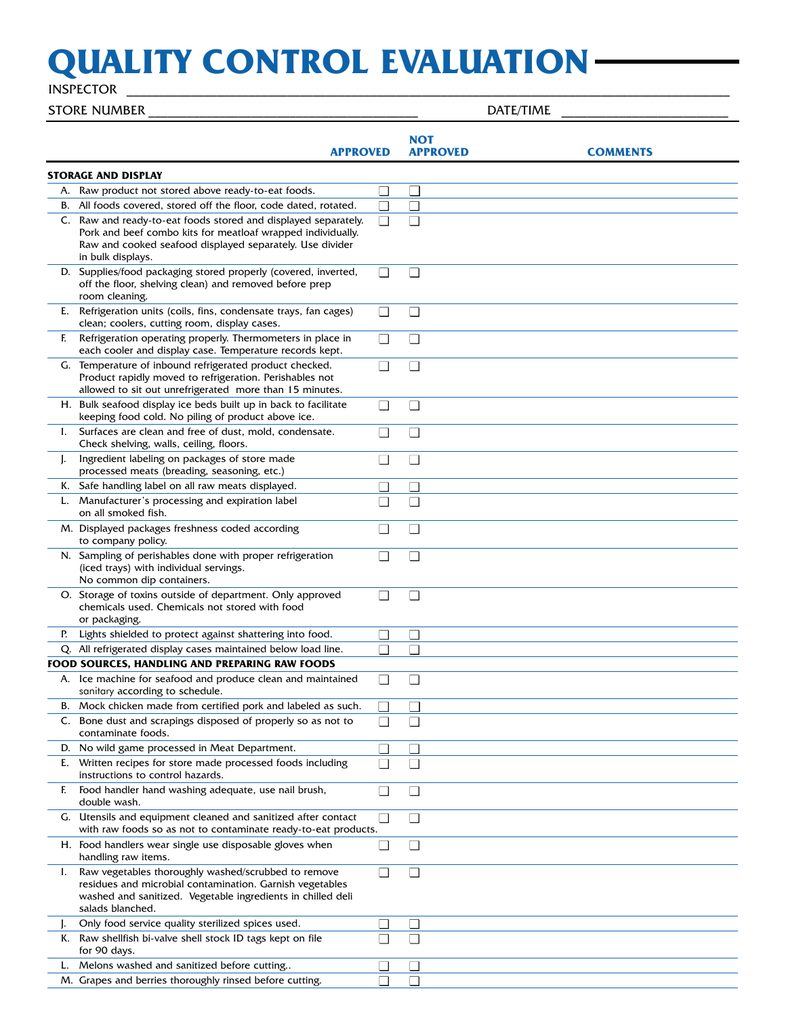## **QUALITY CONTROL EVALUATION**

INSPECTOR \_

|    | <b>STORE NUMBER</b>                                                                                                                                                                                            |        |                               | DATE/TIME |                 |
|----|----------------------------------------------------------------------------------------------------------------------------------------------------------------------------------------------------------------|--------|-------------------------------|-----------|-----------------|
|    | <b>APPROVED</b>                                                                                                                                                                                                |        | <b>NOT</b><br><b>APPROVED</b> |           | <b>COMMENTS</b> |
|    | <b>STORAGE AND DISPLAY</b>                                                                                                                                                                                     |        |                               |           |                 |
|    | A. Raw product not stored above ready-to-eat foods.                                                                                                                                                            | $\Box$ |                               |           |                 |
|    | B. All foods covered, stored off the floor, code dated, rotated.                                                                                                                                               | $\Box$ | П                             |           |                 |
|    | C. Raw and ready-to-eat foods stored and displayed separately.<br>Pork and beef combo kits for meatloaf wrapped individually.<br>Raw and cooked seafood displayed separately. Use divider<br>in bulk displays. | $\Box$ |                               |           |                 |
|    | D. Supplies/food packaging stored properly (covered, inverted,<br>off the floor, shelving clean) and removed before prep<br>room cleaning.                                                                     | $\Box$ | $\Box$                        |           |                 |
| E. | Refrigeration units (coils, fins, condensate trays, fan cages)<br>clean; coolers, cutting room, display cases.                                                                                                 | $\Box$ | $\Box$                        |           |                 |
| F. | Refrigeration operating properly. Thermometers in place in<br>each cooler and display case. Temperature records kept.                                                                                          | $\Box$ | $\Box$                        |           |                 |
|    | G. Temperature of inbound refrigerated product checked.<br>Product rapidly moved to refrigeration. Perishables not<br>allowed to sit out unrefrigerated more than 15 minutes.                                  | $\Box$ | $\Box$                        |           |                 |
|    | H. Bulk seafood display ice beds built up in back to facilitate<br>keeping food cold. No piling of product above ice.                                                                                          | $\Box$ | $\mathsf{L}$                  |           |                 |
| L. | Surfaces are clean and free of dust, mold, condensate.<br>Check shelving, walls, ceiling, floors.                                                                                                              | $\Box$ | $\Box$                        |           |                 |
| J. | Ingredient labeling on packages of store made<br>processed meats (breading, seasoning, etc.)                                                                                                                   | $\Box$ | $\Box$                        |           |                 |
|    | K. Safe handling label on all raw meats displayed.                                                                                                                                                             | ⊔      | $\mathbf{I}$                  |           |                 |
| L. | Manufacturer's processing and expiration label<br>on all smoked fish.                                                                                                                                          | $\Box$ | П                             |           |                 |
|    | M. Displayed packages freshness coded according<br>to company policy.                                                                                                                                          | $\Box$ | П                             |           |                 |
|    | N. Sampling of perishables done with proper refrigeration<br>(iced trays) with individual servings.<br>No common dip containers.                                                                               | $\Box$ | П                             |           |                 |
|    | O. Storage of toxins outside of department. Only approved<br>chemicals used. Chemicals not stored with food<br>or packaging.                                                                                   | $\Box$ | $\Box$                        |           |                 |
| P. | Lights shielded to protect against shattering into food.                                                                                                                                                       | $\Box$ | $\Box$                        |           |                 |
|    | Q. All refrigerated display cases maintained below load line.                                                                                                                                                  | П      | ⊓                             |           |                 |
|    | FOOD SOURCES, HANDLING AND PREPARING RAW FOODS                                                                                                                                                                 |        |                               |           |                 |
|    | A. Ice machine for seafood and produce clean and maintained<br>sanitary according to schedule.                                                                                                                 | $\Box$ | $\Box$                        |           |                 |
|    | B. Mock chicken made from certified pork and labeled as such.                                                                                                                                                  | $\sim$ |                               |           |                 |
|    | C. Bone dust and scrapings disposed of properly so as not to<br>contaminate foods.                                                                                                                             | $\Box$ | $\Box$                        |           |                 |
|    | D. No wild game processed in Meat Department.                                                                                                                                                                  | $\Box$ | $\mathsf{L}$                  |           |                 |
| E. | Written recipes for store made processed foods including                                                                                                                                                       | $\Box$ | П                             |           |                 |
| F. | instructions to control hazards.<br>Food handler hand washing adequate, use nail brush,<br>double wash.                                                                                                        | $\Box$ | ⊔                             |           |                 |
|    | G. Utensils and equipment cleaned and sanitized after contact                                                                                                                                                  | $\Box$ | П                             |           |                 |
|    | with raw foods so as not to contaminate ready-to-eat products.<br>H. Food handlers wear single use disposable gloves when<br>handling raw items.                                                               | $\Box$ | $\Box$                        |           |                 |
| I. | Raw vegetables thoroughly washed/scrubbed to remove<br>residues and microbial contamination. Garnish vegetables<br>washed and sanitized. Vegetable ingredients in chilled deli<br>salads blanched.             | $\Box$ | П                             |           |                 |
|    | Only food service quality sterilized spices used.                                                                                                                                                              | $\Box$ | $\mathsf{L}$                  |           |                 |
|    | K. Raw shellfish bi-valve shell stock ID tags kept on file<br>for 90 days.                                                                                                                                     | $\Box$ | l 1                           |           |                 |
| L. | Melons washed and sanitized before cutting                                                                                                                                                                     | $\Box$ | П                             |           |                 |
|    | M. Grapes and berries thoroughly rinsed before cutting.                                                                                                                                                        | П      |                               |           |                 |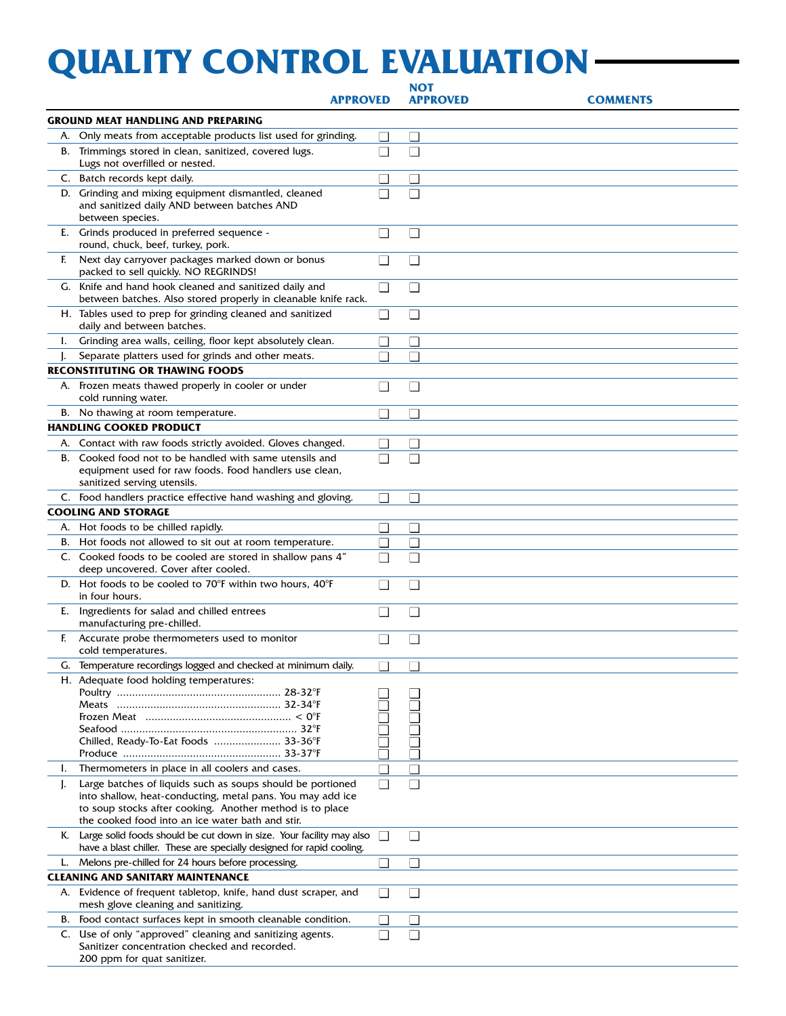## **QUALITY CONTROL EVALUATION**

|    |                                                                                                                                                                                                                                          |              | <b>NOT</b>               |                 |
|----|------------------------------------------------------------------------------------------------------------------------------------------------------------------------------------------------------------------------------------------|--------------|--------------------------|-----------------|
|    | <b>APPROVED</b>                                                                                                                                                                                                                          |              | <b>APPROVED</b>          | <b>COMMENTS</b> |
|    | <b>GROUND MEAT HANDLING AND PREPARING</b>                                                                                                                                                                                                |              |                          |                 |
|    | A. Only meats from acceptable products list used for grinding.                                                                                                                                                                           | $\Box$       | $\Box$                   |                 |
|    | B. Trimmings stored in clean, sanitized, covered lugs.<br>Lugs not overfilled or nested.                                                                                                                                                 | $\Box$       | $\Box$                   |                 |
|    | C. Batch records kept daily.                                                                                                                                                                                                             | $\Box$       | П                        |                 |
|    | D. Grinding and mixing equipment dismantled, cleaned<br>and sanitized daily AND between batches AND<br>between species.                                                                                                                  | П            | П                        |                 |
|    | E. Grinds produced in preferred sequence -<br>round, chuck, beef, turkey, pork.                                                                                                                                                          | $\Box$       | $\Box$                   |                 |
| F. | Next day carryover packages marked down or bonus<br>packed to sell quickly. NO REGRINDS!                                                                                                                                                 | П            | $\Box$                   |                 |
|    | G. Knife and hand hook cleaned and sanitized daily and<br>between batches. Also stored properly in cleanable knife rack.                                                                                                                 | $\Box$       | $\Box$                   |                 |
|    | H. Tables used to prep for grinding cleaned and sanitized<br>daily and between batches.                                                                                                                                                  | $\Box$       | $\Box$                   |                 |
| L. | Grinding area walls, ceiling, floor kept absolutely clean.                                                                                                                                                                               | $\mathbf{L}$ | $\Box$                   |                 |
|    | Separate platters used for grinds and other meats.                                                                                                                                                                                       | П            | П                        |                 |
|    | <b>RECONSTITUTING OR THAWING FOODS</b>                                                                                                                                                                                                   |              |                          |                 |
|    | A. Frozen meats thawed properly in cooler or under<br>cold running water.                                                                                                                                                                | $\Box$       | $\Box$                   |                 |
|    | B. No thawing at room temperature.                                                                                                                                                                                                       | П            | П                        |                 |
|    | <b>HANDLING COOKED PRODUCT</b>                                                                                                                                                                                                           |              |                          |                 |
|    | A. Contact with raw foods strictly avoided. Gloves changed.                                                                                                                                                                              | $\Box$       | $\Box$                   |                 |
| В. | Cooked food not to be handled with same utensils and<br>equipment used for raw foods. Food handlers use clean,<br>sanitized serving utensils.                                                                                            | П            | П                        |                 |
|    | C. Food handlers practice effective hand washing and gloving.                                                                                                                                                                            | $\Box$       | $\Box$                   |                 |
|    | <b>COOLING AND STORAGE</b>                                                                                                                                                                                                               |              |                          |                 |
| А. | Hot foods to be chilled rapidly.                                                                                                                                                                                                         | $\Box$       | $\Box$                   |                 |
| В. | Hot foods not allowed to sit out at room temperature.                                                                                                                                                                                    | $\Box$       | П                        |                 |
|    | C. Cooked foods to be cooled are stored in shallow pans 4"<br>deep uncovered. Cover after cooled.                                                                                                                                        |              | П                        |                 |
|    | D. Hot foods to be cooled to $70^{\circ}$ F within two hours, $40^{\circ}$ F<br>in four hours.                                                                                                                                           |              | $\Box$                   |                 |
|    | E. Ingredients for salad and chilled entrees<br>manufacturing pre-chilled.                                                                                                                                                               | $\Box$       | $\Box$                   |                 |
|    | F. Accurate probe thermometers used to monitor<br>cold temperatures.                                                                                                                                                                     |              | П                        |                 |
|    | G. Temperature recordings logged and checked at minimum daily.                                                                                                                                                                           |              | $\overline{\phantom{0}}$ |                 |
|    | H. Adequate food holding temperatures:                                                                                                                                                                                                   |              |                          |                 |
|    | Chilled, Ready-To-Eat Foods  33-36°F                                                                                                                                                                                                     |              |                          |                 |
| L. | Thermometers in place in all coolers and cases.                                                                                                                                                                                          |              | П                        |                 |
| J. | Large batches of liquids such as soups should be portioned<br>into shallow, heat-conducting, metal pans. You may add ice<br>to soup stocks after cooking. Another method is to place<br>the cooked food into an ice water bath and stir. |              | $\Box$                   |                 |
| K. | Large solid foods should be cut down in size. Your facility may also<br>have a blast chiller. These are specially designed for rapid cooling.                                                                                            | $\Box$       | $\Box$                   |                 |
| L. | Melons pre-chilled for 24 hours before processing.                                                                                                                                                                                       | $\Box$       | $\Box$                   |                 |
|    | <b>CLEANING AND SANITARY MAINTENANCE</b>                                                                                                                                                                                                 |              |                          |                 |
|    | A. Evidence of frequent tabletop, knife, hand dust scraper, and<br>mesh glove cleaning and sanitizing.                                                                                                                                   | $\Box$       | $\Box$                   |                 |
| В. | Food contact surfaces kept in smooth cleanable condition.                                                                                                                                                                                | $\Box$       | $\Box$                   |                 |
|    | C. Use of only "approved" cleaning and sanitizing agents.<br>Sanitizer concentration checked and recorded.<br>200 ppm for quat sanitizer.                                                                                                | П            | П                        |                 |